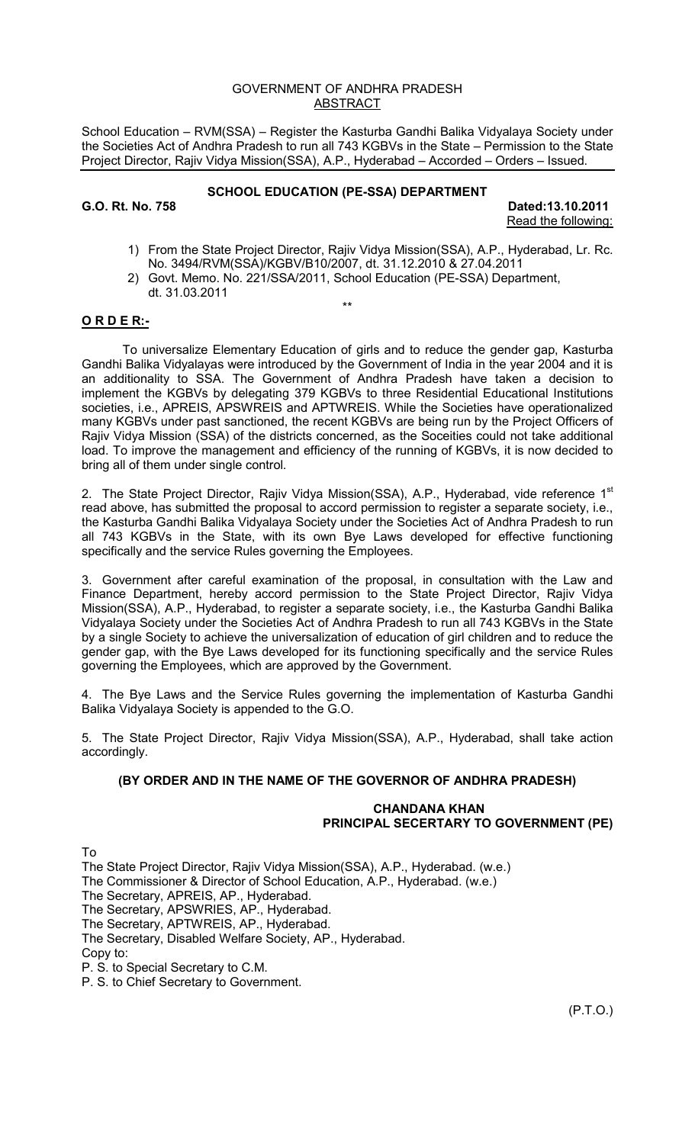#### GOVERNMENT OF ANDHRA PRADESH ABSTRACT

School Education – RVM(SSA) – Register the Kasturba Gandhi Balika Vidyalaya Society under the Societies Act of Andhra Pradesh to run all 743 KGBVs in the State – Permission to the State Project Director, Rajiv Vidya Mission(SSA), A.P., Hyderabad – Accorded – Orders – Issued.

# **SCHOOL EDUCATION (PE-SSA) DEPARTMENT**

**G.O. Rt. No. 758 Dated:13.10.2011**  Read the following:

- 1) From the State Project Director, Rajiv Vidya Mission(SSA), A.P., Hyderabad, Lr. Rc. No. 3494/RVM(SSA)/KGBV/B10/2007, dt. 31.12.2010 & 27.04.2011
- 2) Govt. Memo. No. 221/SSA/2011, School Education (PE-SSA) Department, dt. 31.03.2011 \*\*

### **O R D E R:-**

 To universalize Elementary Education of girls and to reduce the gender gap, Kasturba Gandhi Balika Vidyalayas were introduced by the Government of India in the year 2004 and it is an additionality to SSA. The Government of Andhra Pradesh have taken a decision to implement the KGBVs by delegating 379 KGBVs to three Residential Educational Institutions societies, i.e., APREIS, APSWREIS and APTWREIS. While the Societies have operationalized many KGBVs under past sanctioned, the recent KGBVs are being run by the Project Officers of Rajiv Vidya Mission (SSA) of the districts concerned, as the Soceities could not take additional load. To improve the management and efficiency of the running of KGBVs, it is now decided to bring all of them under single control.

2. The State Project Director, Rajiv Vidya Mission(SSA), A.P., Hyderabad, vide reference 1<sup>st</sup> read above, has submitted the proposal to accord permission to register a separate society, i.e., the Kasturba Gandhi Balika Vidyalaya Society under the Societies Act of Andhra Pradesh to run all 743 KGBVs in the State, with its own Bye Laws developed for effective functioning specifically and the service Rules governing the Employees.

3. Government after careful examination of the proposal, in consultation with the Law and Finance Department, hereby accord permission to the State Project Director, Rajiv Vidya Mission(SSA), A.P., Hyderabad, to register a separate society, i.e., the Kasturba Gandhi Balika Vidyalaya Society under the Societies Act of Andhra Pradesh to run all 743 KGBVs in the State by a single Society to achieve the universalization of education of girl children and to reduce the gender gap, with the Bye Laws developed for its functioning specifically and the service Rules governing the Employees, which are approved by the Government.

4. The Bye Laws and the Service Rules governing the implementation of Kasturba Gandhi Balika Vidyalaya Society is appended to the G.O.

5. The State Project Director, Rajiv Vidya Mission(SSA), A.P., Hyderabad, shall take action accordingly.

# **(BY ORDER AND IN THE NAME OF THE GOVERNOR OF ANDHRA PRADESH)**

#### **CHANDANA KHAN PRINCIPAL SECERTARY TO GOVERNMENT (PE)**

To

The State Project Director, Rajiv Vidya Mission(SSA), A.P., Hyderabad. (w.e.) The Commissioner & Director of School Education, A.P., Hyderabad. (w.e.) The Secretary, APREIS, AP., Hyderabad. The Secretary, APSWRIES, AP., Hyderabad. The Secretary, APTWREIS, AP., Hyderabad. The Secretary, Disabled Welfare Society, AP., Hyderabad. Copy to: P. S. to Special Secretary to C.M.

P. S. to Chief Secretary to Government.